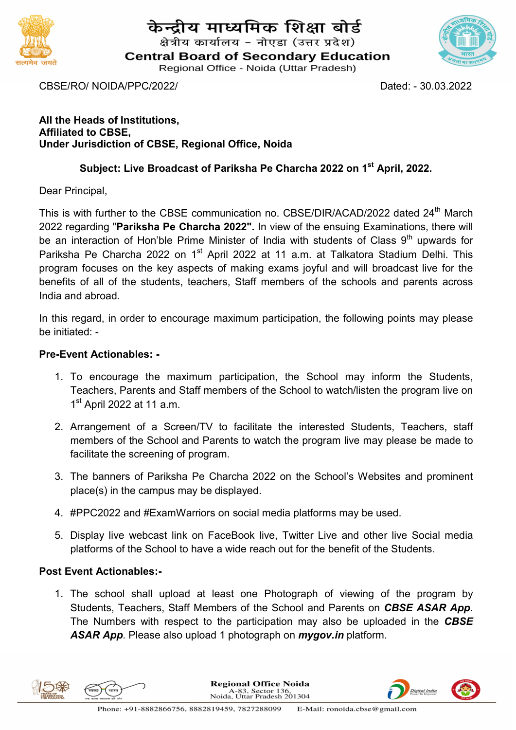

# केन्द्रीय माध्यमिक शिक्षा बोर्ड

क्षेत्रीय कार्यालय - नोएडा (उत्तर प्रदेश)

**Central Board of Secondary Education** 

Regional Office - Noida (Uttar Pradesh)

CBSE/RO/ NOIDA/PPC/2022/ Dated: - 30.03.2022

All the Heads of Institutions, Affiliated to CBSE, Under Jurisdiction of CBSE, Regional Office, Noida

## Subject: Live Broadcast of Pariksha Pe Charcha 2022 on 1<sup>st</sup> April, 2022.

Dear Principal,

This is with further to the CBSE communication no. CBSE/DIR/ACAD/2022 dated 24<sup>th</sup> March 2022 regarding "Pariksha Pe Charcha 2022". In view of the ensuing Examinations, there will be an interaction of Hon'ble Prime Minister of India with students of Class 9<sup>th</sup> upwards for Pariksha Pe Charcha 2022 on 1<sup>st</sup> April 2022 at 11 a.m. at Talkatora Stadium Delhi. This program focuses on the key aspects of making exams joyful and will broadcast live for the benefits of all of the students, teachers, Staff members of the schools and parents across India and abroad.

In this regard, in order to encourage maximum participation, the following points may please be initiated: -

#### Pre-Event Actionables: -

- 1. To encourage the maximum participation, the School may inform the Students, Teachers, Parents and Staff members of the School to watch/listen the program live on 1<sup>st</sup> April 2022 at 11 a.m.
- 2. Arrangement of a Screen/TV to facilitate the interested Students, Teachers, staff members of the School and Parents to watch the program live may please be made to facilitate the screening of program.
- 3. The banners of Pariksha Pe Charcha 2022 on the School's Websites and prominent place(s) in the campus may be displayed.
- 4. #PPC2022 and #ExamWarriors on social media platforms may be used.
- 5. Display live webcast link on FaceBook live, Twitter Live and other live Social media platforms of the School to have a wide reach out for the benefit of the Students.

## Post Event Actionables:-

1. The school shall upload at least one Photograph of viewing of the program by Students, Teachers, Staff Members of the School and Parents on CBSE ASAR App. The Numbers with respect to the participation may also be uploaded in the CBSE ASAR App. Please also upload 1 photograph on *mygov.in* platform.